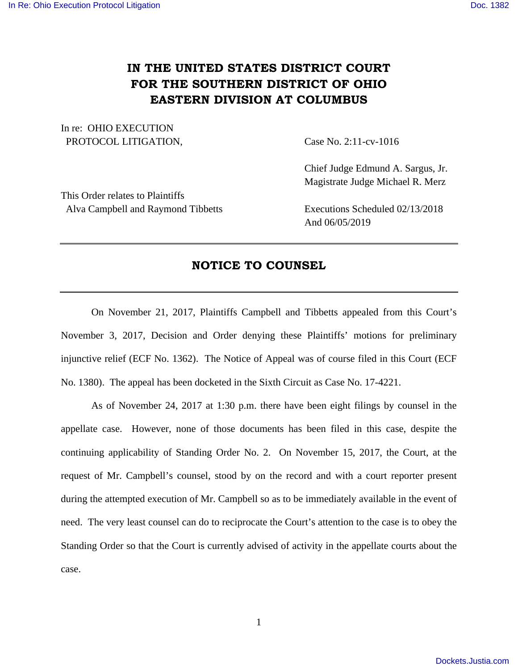## **IN THE UNITED STATES DISTRICT COURT FOR THE SOUTHERN DISTRICT OF OHIO EASTERN DIVISION AT COLUMBUS**

In re: OHIO EXECUTION PROTOCOL LITIGATION, Case No. 2:11-cv-1016

 Chief Judge Edmund A. Sargus, Jr. Magistrate Judge Michael R. Merz

This Order relates to Plaintiffs Alva Campbell and Raymond Tibbetts Executions Scheduled 02/13/2018

And 06/05/2019

## **NOTICE TO COUNSEL**

 On November 21, 2017, Plaintiffs Campbell and Tibbetts appealed from this Court's November 3, 2017, Decision and Order denying these Plaintiffs' motions for preliminary injunctive relief (ECF No. 1362). The Notice of Appeal was of course filed in this Court (ECF No. 1380). The appeal has been docketed in the Sixth Circuit as Case No. 17-4221.

 As of November 24, 2017 at 1:30 p.m. there have been eight filings by counsel in the appellate case. However, none of those documents has been filed in this case, despite the continuing applicability of Standing Order No. 2. On November 15, 2017, the Court, at the request of Mr. Campbell's counsel, stood by on the record and with a court reporter present during the attempted execution of Mr. Campbell so as to be immediately available in the event of need. The very least counsel can do to reciprocate the Court's attention to the case is to obey the Standing Order so that the Court is currently advised of activity in the appellate courts about the case.